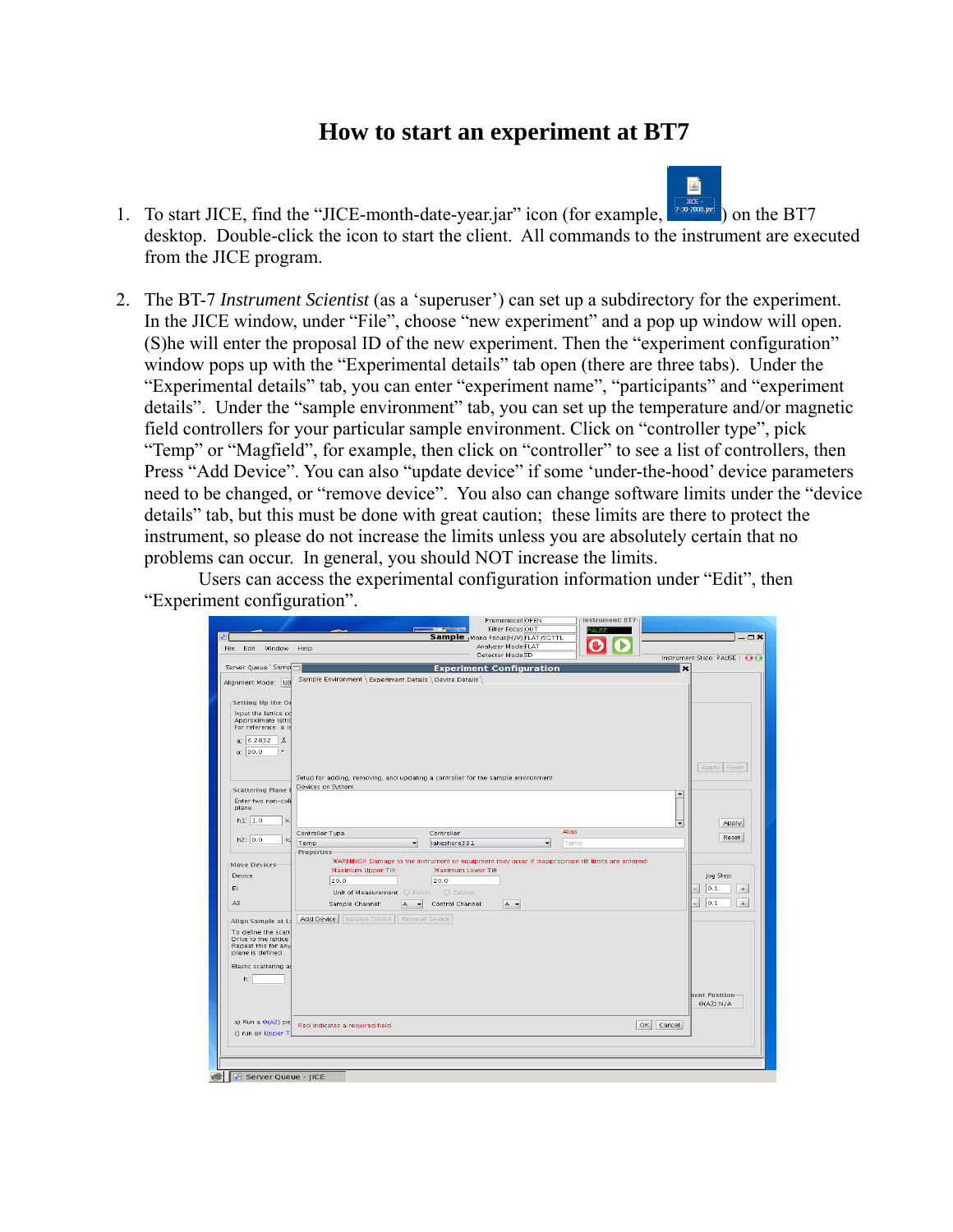## **How to start an experiment at BT7**

g)

- 1. To start JICE, find the "JICE-month-date-year.jar" icon (for example,  $\frac{1}{200000 \text{ s} \cdot \text{m}}$ ) on the BT7 desktop. Double-click the icon to start the client. All commands to the instrument are executed from the JICE program.
- 2. The BT-7 *Instrument Scientist* (as a 'superuser') can set up a subdirectory for the experiment. In the JICE window, under "File", choose "new experiment" and a pop up window will open. (S)he will enter the proposal ID of the new experiment. Then the "experiment configuration" window pops up with the "Experimental details" tab open (there are three tabs). Under the "Experimental details" tab, you can enter "experiment name", "participants" and "experiment details". Under the "sample environment" tab, you can set up the temperature and/or magnetic field controllers for your particular sample environment. Click on "controller type", pick "Temp" or "Magfield", for example, then click on "controller" to see a list of controllers, then Press "Add Device". You can also "update device" if some 'under-the-hood' device parameters need to be changed, or "remove device". You also can change software limits under the "device details" tab, but this must be done with great caution; these limits are there to protect the instrument, so please do not increase the limits unless you are absolutely certain that no problems can occur. In general, you should NOT increase the limits.

Users can access the experimental configuration information under "Edit", then "Experiment configuration".

|                                             | Premonocoll OPEN<br>Instrument: BT7-                                                                                                                   |                                     |
|---------------------------------------------|--------------------------------------------------------------------------------------------------------------------------------------------------------|-------------------------------------|
| ₽                                           | Filter Focus OUT<br>--<br>Sample_Mono Focus(H/V) FLAT/SGTTL                                                                                            | $ \Box$ $\times$                    |
| Edit Window<br>File                         | Analyzer Mode FLAT<br>Help                                                                                                                             |                                     |
|                                             | Detector Mode SD                                                                                                                                       | Instrument State: PAUSE   @ @       |
| Server Queue Samp                           | <b>Experiment Configuration</b><br>$\star$                                                                                                             |                                     |
| Alignment Mode: UB                          | Sample Environment   Experiment Details   Device Details                                                                                               |                                     |
|                                             |                                                                                                                                                        |                                     |
| Setting Up the O                            |                                                                                                                                                        |                                     |
| Input the lattice cd                        |                                                                                                                                                        |                                     |
| Approximate lattid                          |                                                                                                                                                        |                                     |
| For reference: a is                         |                                                                                                                                                        |                                     |
| a. 6.2832<br>Å                              |                                                                                                                                                        |                                     |
| α: 90.0<br>$\bullet$                        |                                                                                                                                                        |                                     |
|                                             |                                                                                                                                                        | Apply Reset                         |
|                                             | Setup for adding, removing, and updating a controller for the sample environment.                                                                      |                                     |
| Scattering Plane                            | Devices on System                                                                                                                                      |                                     |
| Enter two non-coll                          | $\blacktriangle$                                                                                                                                       |                                     |
| plane.                                      |                                                                                                                                                        |                                     |
| h1: 1.0<br>$\mathsf{k}$                     | $\overline{\phantom{0}}$                                                                                                                               | Apply                               |
|                                             | <b>Alias</b><br>Controller<br>Controller Type                                                                                                          |                                     |
| h2: 0.0                                     | Temp<br>lakeshore331<br>Temp<br>▾<br>≖                                                                                                                 | Reset                               |
|                                             | Properties                                                                                                                                             |                                     |
| Move Devices                                | WARNING!! Damage to the instrument or equipment may occur if inappropriate tilt limits are entered!<br>Maximum Upper Tilt<br><b>Maximum Lower Tilt</b> |                                     |
| <b>Device</b>                               | 20.0<br>20.0                                                                                                                                           | Jog Step                            |
| EI                                          | Unit of Measurement: O Kelvin O Celsius                                                                                                                | lo. 1.<br>$+$                       |
| A3                                          | Control Channel:<br>A -<br>Sample Channel:<br>A                                                                                                        | 0.1<br>$+$                          |
|                                             |                                                                                                                                                        |                                     |
| Alian Sample at L                           | Add Device<br>Update Device<br>Remove Device                                                                                                           |                                     |
| To define the scatt                         |                                                                                                                                                        |                                     |
| Drive to the lattice<br>Repeat this for any |                                                                                                                                                        |                                     |
| plane is defined.                           |                                                                                                                                                        |                                     |
| Elastic scattering a:                       |                                                                                                                                                        |                                     |
| h:                                          |                                                                                                                                                        |                                     |
|                                             |                                                                                                                                                        |                                     |
|                                             |                                                                                                                                                        | nent Position<br>$\Theta(A3)$ : N/A |
|                                             |                                                                                                                                                        |                                     |
| a) Run a $\Theta$ (A3) pe                   | OK<br>Cancel<br>Red indicates a required field                                                                                                         |                                     |
| c) run an Upper T                           |                                                                                                                                                        |                                     |
|                                             |                                                                                                                                                        |                                     |
|                                             |                                                                                                                                                        |                                     |
|                                             |                                                                                                                                                        |                                     |
| Server Queue - JICE                         |                                                                                                                                                        |                                     |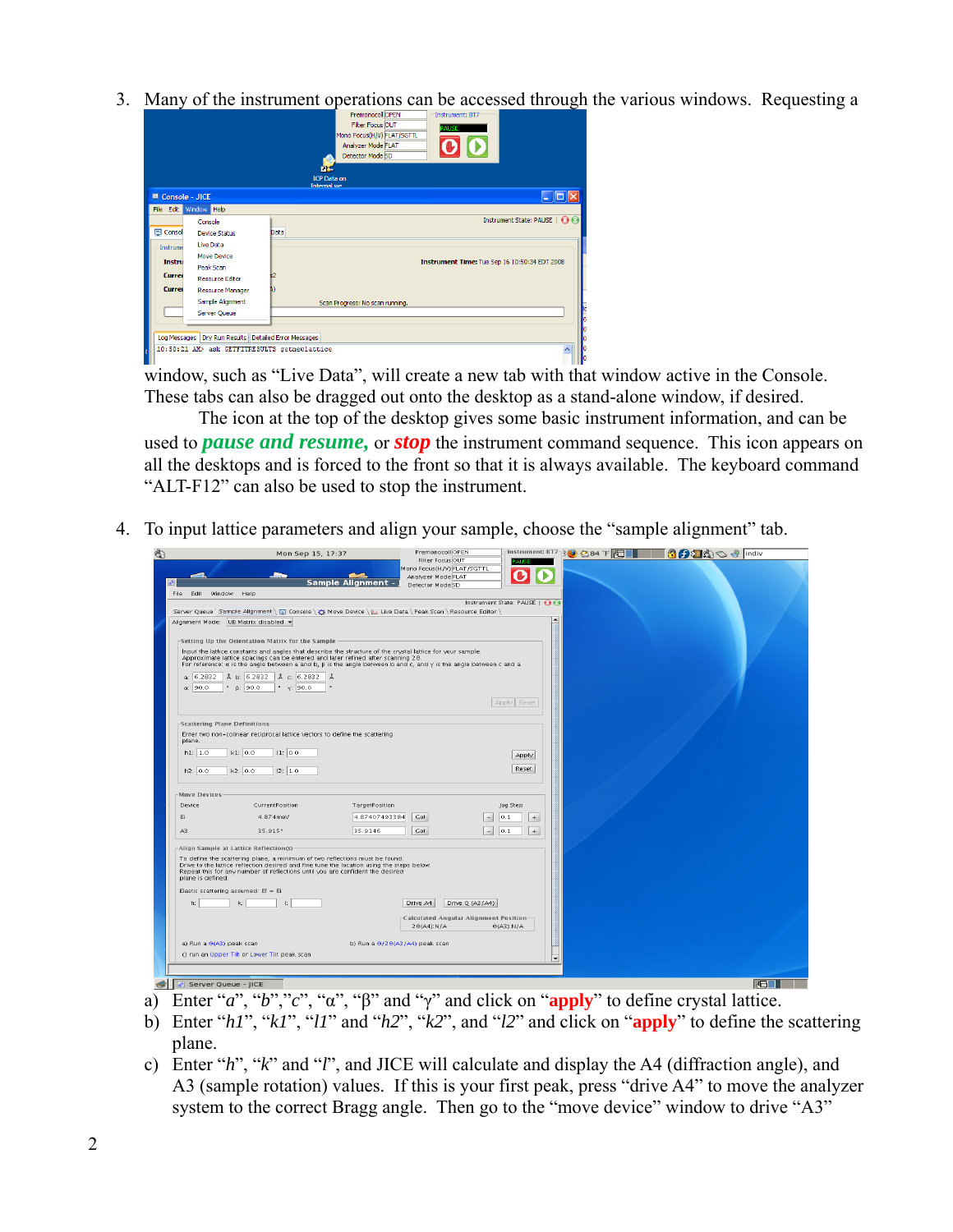3. Many of the instrument operations can be accessed through the various windows. Requesting a

|                               |                                                      | Premonocoll OPEN<br>Instrument: BT7<br>Filter Focus OUT<br><b>PAUSE</b><br>Mono Focus(H/V) FLAT/SGTTL<br>Analyzer Mode FLAT<br>Detector Mode SD<br><b>ICP Data on</b> |  |
|-------------------------------|------------------------------------------------------|-----------------------------------------------------------------------------------------------------------------------------------------------------------------------|--|
|                               |                                                      | <b>Internal we</b>                                                                                                                                                    |  |
| $\blacksquare$ Console - JICE |                                                      | <u> - 10</u>                                                                                                                                                          |  |
|                               | File Edit Window Help                                |                                                                                                                                                                       |  |
|                               | Console                                              | Instrument State: PAUSE                                                                                                                                               |  |
| El Consol                     | Device Shahus                                        | <b>Data</b>                                                                                                                                                           |  |
| Instrume                      | Live Data                                            |                                                                                                                                                                       |  |
| <b>Instru</b>                 | Move Device                                          | Instrument Time: Tue Sep 16 10:50:34 EDT 2008                                                                                                                         |  |
|                               | Peak Scan                                            |                                                                                                                                                                       |  |
| Currei                        | <b>Resource Editor</b>                               |                                                                                                                                                                       |  |
| Currei                        | Resource Manager                                     |                                                                                                                                                                       |  |
|                               | Sample Alignment                                     | Scan Progress: No scan running.                                                                                                                                       |  |
|                               | Server Queue                                         |                                                                                                                                                                       |  |
|                               |                                                      |                                                                                                                                                                       |  |
|                               | Log Messages Dry Run Results Detailed Error Messages |                                                                                                                                                                       |  |
|                               | 10:50:21 AM> ask GETFITRESULTS getnewlattice         |                                                                                                                                                                       |  |
|                               |                                                      |                                                                                                                                                                       |  |

window, such as "Live Data", will create a new tab with that window active in the Console. These tabs can also be dragged out onto the desktop as a stand-alone window, if desired.

The icon at the top of the desktop gives some basic instrument information, and can be used to *pause and resume,* or *stop* the instrument command sequence. This icon appears on all the desktops and is forced to the front so that it is always available. The keyboard command "ALT-F12" can also be used to stop the instrument.

4. To input lattice parameters and align your sample, choose the "sample alignment" tab.

|                                       | Mon Sep 15, 17:37                                                                                                                                                        | Premonocoll OPEN                                                                                                                      |                                          | -Instrument: $BT7$ $\odot$ $\otimes$ 84 $\uparrow$ $\Box$ | <b>COZOO &amp; indiv</b> |
|---------------------------------------|--------------------------------------------------------------------------------------------------------------------------------------------------------------------------|---------------------------------------------------------------------------------------------------------------------------------------|------------------------------------------|-----------------------------------------------------------|--------------------------|
|                                       |                                                                                                                                                                          | Filter Focus OUT<br>Mono Focus(H/V) FLAT/SGTTL                                                                                        |                                          |                                                           |                          |
|                                       |                                                                                                                                                                          | Analyzer Mode FLAT<br><b>Sample Alignment -</b><br>Detector Mode SD                                                                   |                                          |                                                           |                          |
| Window -<br>Edit<br>File              | Help                                                                                                                                                                     |                                                                                                                                       |                                          |                                                           |                          |
|                                       |                                                                                                                                                                          |                                                                                                                                       | Instrument State: PAUSE   88             |                                                           |                          |
| Alignment Mode: UB Matrix disabled v  |                                                                                                                                                                          | Server Queue > Sample Alignment \ El Console \ $\mathfrak{P}$ Move Device \ L Live Data \ Peak Scan \ Resource Editor \               | $\blacktriangle$                         |                                                           |                          |
|                                       |                                                                                                                                                                          |                                                                                                                                       |                                          |                                                           |                          |
|                                       | Setting Up the Orientation Matrix for the Sample                                                                                                                         |                                                                                                                                       |                                          |                                                           |                          |
|                                       | Approximate lattice spacings can be entered and later refined after scanning 20.                                                                                         | Input the lattice constants and angles that describe the structure of the crystal lattice for your sample.                            |                                          |                                                           |                          |
|                                       |                                                                                                                                                                          | For reference: $\alpha$ is the angle between a and b, $\beta$ is the angle between b and c, and $\gamma$ is the angle between c and a |                                          |                                                           |                          |
| a: 6.2832<br>$\alpha$ : 90.0          | А b: 6.2832   А с 6.2832   А<br>$\frac{1}{2}$ $\beta$ : 90.0<br>$\cdot$ $\gamma$ : 90.0                                                                                  |                                                                                                                                       |                                          |                                                           |                          |
|                                       |                                                                                                                                                                          |                                                                                                                                       |                                          |                                                           |                          |
|                                       |                                                                                                                                                                          |                                                                                                                                       | Apply   Reset                            |                                                           |                          |
| -Scattering Plane Definitions         |                                                                                                                                                                          |                                                                                                                                       |                                          |                                                           |                          |
|                                       | Enter two non-colinear reciprocal lattice vectors to define the scattering                                                                                               |                                                                                                                                       |                                          |                                                           |                          |
| plane.<br>h1: 1.0<br>k1: 0.0          |                                                                                                                                                                          |                                                                                                                                       |                                          |                                                           |                          |
|                                       | 11: 0.0                                                                                                                                                                  |                                                                                                                                       | Apply                                    |                                                           |                          |
| h2: 0.0<br>k2: 0.0                    | 12: 1.0                                                                                                                                                                  |                                                                                                                                       | Reset                                    |                                                           |                          |
|                                       |                                                                                                                                                                          |                                                                                                                                       |                                          |                                                           |                          |
| Move Devices<br>Device                | CurrentPosition                                                                                                                                                          | TargetPosition                                                                                                                        | Jog Step                                 |                                                           |                          |
| Ei                                    | 4.874meV                                                                                                                                                                 | 4.87407493384<br>Gol                                                                                                                  | 0.1<br>$\overline{\phantom{a}}$<br>$\pm$ |                                                           |                          |
| A3                                    | 35.915°                                                                                                                                                                  | 35.9146<br>Go!                                                                                                                        | 0.1 <br>$+$                              |                                                           |                          |
|                                       |                                                                                                                                                                          |                                                                                                                                       | $\overline{\phantom{a}}$                 |                                                           |                          |
| Align Sample at Lattice Reflection(s) |                                                                                                                                                                          |                                                                                                                                       |                                          |                                                           |                          |
|                                       | To define the scattering plane, a minimum of two reflections must be found.<br>Drive to the lattice reflection desired and fine tune the location using the steps below. |                                                                                                                                       |                                          |                                                           |                          |
| plane is defined.                     | Repeat this for any number of reflections until you are confident the desired                                                                                            |                                                                                                                                       |                                          |                                                           |                          |
| Elastic scattering assumed: Ef = Ei   |                                                                                                                                                                          |                                                                                                                                       |                                          |                                                           |                          |
| k:<br>h.                              |                                                                                                                                                                          | Drive Q (A3/A4)<br>Drive A4                                                                                                           |                                          |                                                           |                          |
|                                       |                                                                                                                                                                          | Calculated Angular Alignment Position-                                                                                                |                                          |                                                           |                          |
|                                       |                                                                                                                                                                          | $2\Theta(A4)$ : N/A                                                                                                                   | $\Theta(A3)$ : N/A                       |                                                           |                          |
| a) Run a $\Theta(A3)$ peak scan       |                                                                                                                                                                          | b) Run a $\Theta$ /2 $\Theta$ (A3/A4) peak scan                                                                                       |                                          |                                                           |                          |
|                                       | c) run an Upper Tilt or Lower Tilt peak scan                                                                                                                             |                                                                                                                                       |                                          |                                                           |                          |
|                                       |                                                                                                                                                                          |                                                                                                                                       | $\overline{\phantom{a}}$                 |                                                           |                          |
|                                       |                                                                                                                                                                          |                                                                                                                                       |                                          |                                                           |                          |
| Server Queue - JICE                   |                                                                                                                                                                          |                                                                                                                                       |                                          |                                                           | I⊤F⊓                     |

- a) Enter "*a*", "*b*","*c*", "α", "β" and "γ" and click on "**apply**" to define crystal lattice.
- b) Enter "*h1*", "*k1*", "*l1*" and "*h2*", "*k2*", and "*l2*" and click on "**apply**" to define the scattering plane.
- c) Enter "*h*", "*k*" and "*l*", and JICE will calculate and display the A4 (diffraction angle), and A3 (sample rotation) values. If this is your first peak, press "drive A4" to move the analyzer system to the correct Bragg angle. Then go to the "move device" window to drive "A3"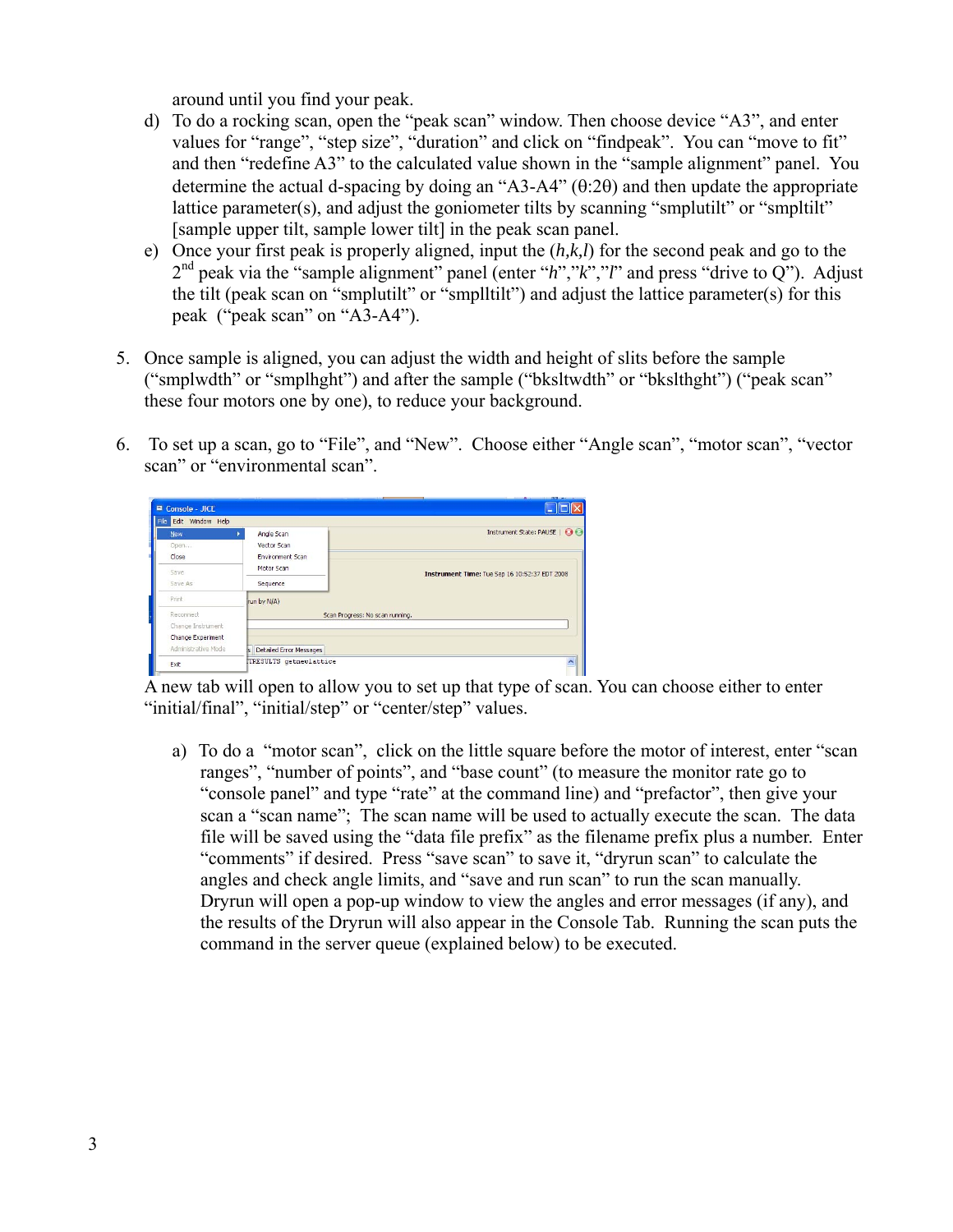around until you find your peak.

- d) To do a rocking scan, open the "peak scan" window. Then choose device "A3", and enter values for "range", "step size", "duration" and click on "findpeak". You can "move to fit" and then "redefine A3" to the calculated value shown in the "sample alignment" panel. You determine the actual d-spacing by doing an "A3-A4" (θ:2θ) and then update the appropriate lattice parameter(s), and adjust the goniometer tilts by scanning "smplutilt" or "smpltilt" [sample upper tilt, sample lower tilt] in the peak scan panel.
- e) Once your first peak is properly aligned, input the (*h,k,l*) for the second peak and go to the 2nd peak via the "sample alignment" panel (enter "*h*","*k*","*l*" and press "drive to Q"). Adjust the tilt (peak scan on "smplutilt" or "smplltilt") and adjust the lattice parameter(s) for this peak ("peak scan" on "A3-A4").
- 5. Once sample is aligned, you can adjust the width and height of slits before the sample ("smplwdth" or "smplhght") and after the sample ("bksltwdth" or "bkslthght") ("peak scan" these four motors one by one), to reduce your background.
- 6. To set up a scan, go to "File", and "New". Choose either "Angle scan", "motor scan", "vector scan" or "environmental scan".

| $\blacksquare$ Console - JICE |                               | $\sim$<br>_______                             |
|-------------------------------|-------------------------------|-----------------------------------------------|
| File Edit Window Help         |                               |                                               |
| <b>New</b>                    | Angle Scan                    | Instrument State: PAUSE   00                  |
| Open                          | Vector Scan                   |                                               |
| Close                         | Environment Scan              |                                               |
| Save.                         | Motor Scan                    | Instrument Time: Tue Sep 16 10:52:37 EDT 2008 |
| Save As                       | Sequence                      |                                               |
| Print                         | run by N/A)                   |                                               |
| Reconnect                     |                               | Scan Progress: No scan running.               |
| Change Instrument             |                               |                                               |
| Change Experiment             |                               |                                               |
| Administrative Mode           | is Detailed Error Messages    |                                               |
| Exit                          | <b>TRESULTS</b> getnewlattice |                                               |

A new tab will open to allow you to set up that type of scan. You can choose either to enter "initial/final", "initial/step" or "center/step" values.

a) To do a "motor scan", click on the little square before the motor of interest, enter "scan ranges", "number of points", and "base count" (to measure the monitor rate go to "console panel" and type "rate" at the command line) and "prefactor", then give your scan a "scan name"; The scan name will be used to actually execute the scan. The data file will be saved using the "data file prefix" as the filename prefix plus a number. Enter "comments" if desired. Press "save scan" to save it, "dryrun scan" to calculate the angles and check angle limits, and "save and run scan" to run the scan manually. Dryrun will open a pop-up window to view the angles and error messages (if any), and the results of the Dryrun will also appear in the Console Tab. Running the scan puts the command in the server queue (explained below) to be executed.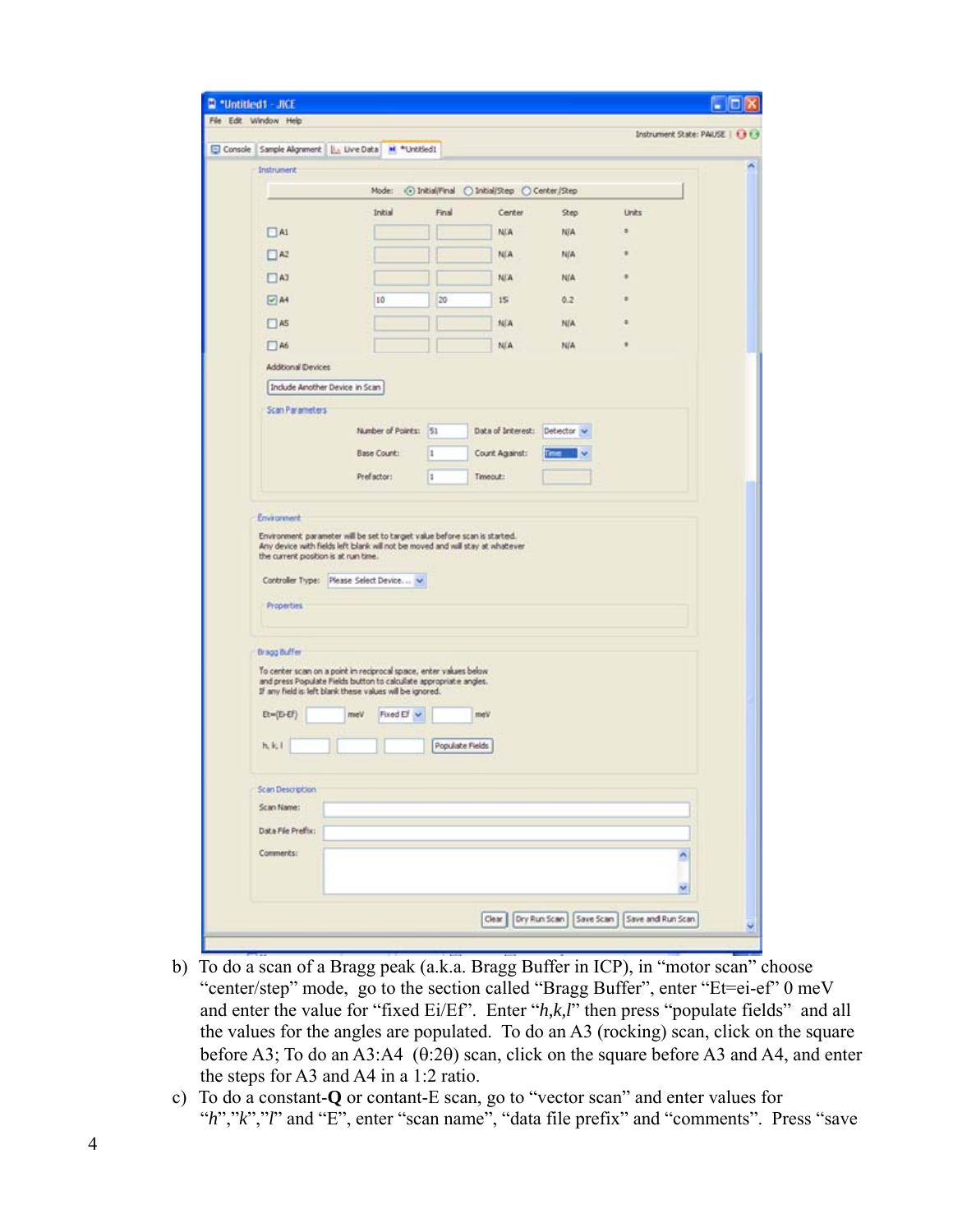|                                                      | Console Sample Algrament   La Live Data   M *Untitled!                                                                                                                                             |                 |                                               |            | Instrument State: PAUSE   1313 |   |
|------------------------------------------------------|----------------------------------------------------------------------------------------------------------------------------------------------------------------------------------------------------|-----------------|-----------------------------------------------|------------|--------------------------------|---|
| Instrument:                                          |                                                                                                                                                                                                    |                 |                                               |            |                                |   |
|                                                      | Moder                                                                                                                                                                                              |                 | i⊙ Initial/Final O Initial/Step O Center/Step |            |                                |   |
|                                                      | Initial                                                                                                                                                                                            | Final           | Center                                        | Step       | Units                          |   |
| A1                                                   |                                                                                                                                                                                                    |                 | <b>NIA</b>                                    | NIA        | ٠                              |   |
| A2                                                   |                                                                                                                                                                                                    |                 | <b>NGA</b>                                    | N/A        |                                |   |
| $\square$ A3                                         |                                                                                                                                                                                                    |                 | <b>NJA</b>                                    | <b>N/A</b> |                                |   |
| 24                                                   | 10                                                                                                                                                                                                 | $20 -$          | $15 -$                                        | 0.2        |                                |   |
| $\square$ A5                                         |                                                                                                                                                                                                    |                 | <b>NJA</b>                                    | NIA        |                                |   |
| A6                                                   |                                                                                                                                                                                                    |                 | <b>NEA</b>                                    | N/A        |                                |   |
| Additional Devices                                   |                                                                                                                                                                                                    |                 |                                               |            |                                |   |
| Include Amother Device in Scan!                      |                                                                                                                                                                                                    |                 |                                               |            |                                |   |
| Scan Parameters                                      |                                                                                                                                                                                                    |                 |                                               |            |                                |   |
|                                                      | Number of Points: 51                                                                                                                                                                               |                 | Data of Interest: Detector                    |            |                                |   |
|                                                      | Base Count:                                                                                                                                                                                        | ls.             | Count Against:                                |            |                                |   |
|                                                      |                                                                                                                                                                                                    |                 |                                               |            |                                |   |
|                                                      | Prefactor:<br>Environment parameter will be set to target value before scan is started.<br>Any device with fields left blank will not be moved and will stay at whatever                           | It.             | Timeout:                                      |            |                                |   |
| Properties                                           | Controller Type: Please Select Device v                                                                                                                                                            |                 |                                               |            |                                |   |
| Environment<br>the current prosition is at run time. |                                                                                                                                                                                                    |                 |                                               |            |                                |   |
|                                                      |                                                                                                                                                                                                    |                 |                                               |            |                                |   |
| Bragg Buffer                                         | To center scan on a point in reciprocal space, enter values below<br>and press Populate Fields button to calculate appropriate angles.<br>If any field is left blank these values will be ignored. |                 |                                               |            |                                |   |
| $Et=[E-Ef]$                                          | Fixed Ef v<br>meV                                                                                                                                                                                  |                 | meV                                           |            |                                |   |
| h, k, l                                              |                                                                                                                                                                                                    | Populate Fields |                                               |            |                                |   |
| Scan Description                                     |                                                                                                                                                                                                    |                 |                                               |            |                                |   |
|                                                      |                                                                                                                                                                                                    |                 |                                               |            |                                |   |
|                                                      |                                                                                                                                                                                                    |                 |                                               |            |                                |   |
| Scan Name:<br>Data File Prefix:<br>Comments:         |                                                                                                                                                                                                    |                 |                                               |            |                                | ñ |

- b) To do a scan of a Bragg peak (a.k.a. Bragg Buffer in ICP), in "motor scan" choose "center/step" mode, go to the section called "Bragg Buffer", enter "Et=ei-ef" 0 meV and enter the value for "fixed Ei/Ef". Enter "*h,k,l*" then press "populate fields" and all the values for the angles are populated. To do an A3 (rocking) scan, click on the square before A3; To do an A3:A4 (θ:2θ) scan, click on the square before A3 and A4, and enter the steps for A3 and A4 in a 1:2 ratio.
- c) To do a constant-**Q** or contant-E scan, go to "vector scan" and enter values for "*h*","*k*","*l*" and "E", enter "scan name", "data file prefix" and "comments". Press "save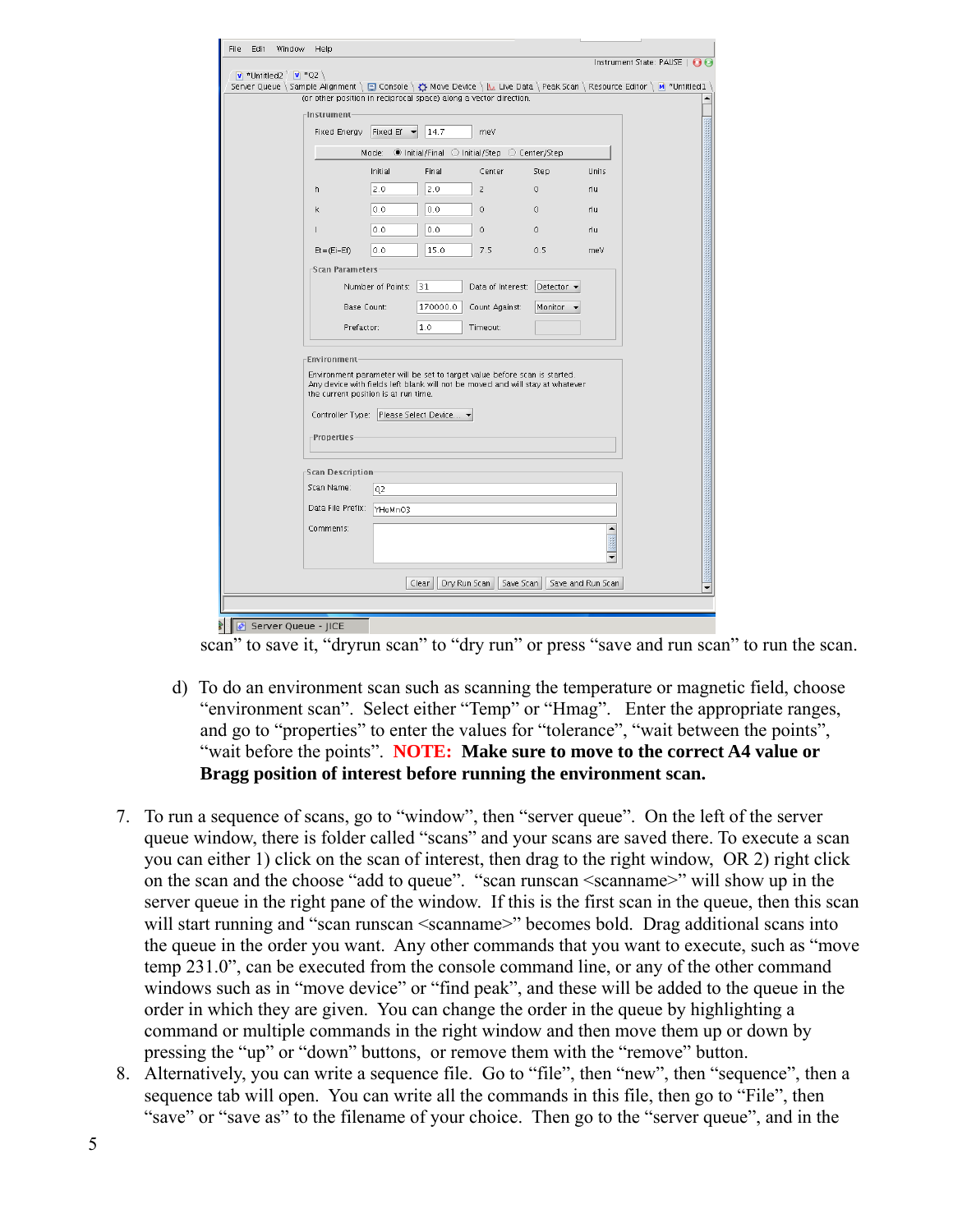| File<br>Edit<br>Window           | Help                                 |                               |                                         |                                                                               |            |                                                                                                                                      |
|----------------------------------|--------------------------------------|-------------------------------|-----------------------------------------|-------------------------------------------------------------------------------|------------|--------------------------------------------------------------------------------------------------------------------------------------|
|                                  |                                      |                               |                                         |                                                                               |            | Instrument State: PAUSE $\Box$                                                                                                       |
| <b>v</b> *Untitled2 $\vee$ *Q2 \ |                                      |                               |                                         |                                                                               |            | Server Queue \ Sample Alignment \ El Console \ $\bigcirc$ Move Device \     L Live Data \ Peak Scan \ Resource Editor \ M *Untitled1 |
|                                  |                                      |                               |                                         | (or other position in reciprocal space) along a vector direction.             |            |                                                                                                                                      |
|                                  | -Instrument-                         |                               |                                         |                                                                               |            |                                                                                                                                      |
|                                  | Fixed Energy                         | Fixed Ef $\blacktriangledown$ | 14.7                                    | meV                                                                           |            |                                                                                                                                      |
|                                  |                                      |                               |                                         | Mode: O Initial/Final O Initial/Step O Center/Step                            |            |                                                                                                                                      |
|                                  |                                      | Initial                       | Final                                   | Center                                                                        | Step       | <b>Units</b>                                                                                                                         |
| h                                |                                      | 2.0                           | 2.0                                     | $\overline{z}$                                                                | $\circ$    | rlu                                                                                                                                  |
| k                                |                                      | 0.0                           | 0.0                                     | $\circ$                                                                       | $\circ$    | rlu                                                                                                                                  |
|                                  |                                      | 0.0                           | 0.0                                     | 0                                                                             | $\circ$    | rlu                                                                                                                                  |
|                                  | $Et = (Ei - Ef)$                     | 0.0                           | 15.0                                    | 7.5                                                                           | 0.5        | meV                                                                                                                                  |
|                                  | -Scan Parameters-                    |                               |                                         |                                                                               |            |                                                                                                                                      |
|                                  |                                      | Number of Points:             | 31                                      | Data of Interest:                                                             | Detector - |                                                                                                                                      |
|                                  | Base Count:                          |                               | 170000.0                                | Count Against:                                                                | Monitor    |                                                                                                                                      |
|                                  | Prefactor:                           |                               | 1.0                                     | Timeout:                                                                      |            |                                                                                                                                      |
|                                  |                                      |                               |                                         |                                                                               |            |                                                                                                                                      |
|                                  | Environment                          |                               |                                         |                                                                               |            |                                                                                                                                      |
|                                  |                                      |                               |                                         | Environment parameter will be set to target value before scan is started.     |            |                                                                                                                                      |
|                                  | the current position is at run time. |                               |                                         | Any device with fields left blank will not be moved and will stay at whatever |            |                                                                                                                                      |
|                                  |                                      |                               | Controller Type: Please Select Device ▼ |                                                                               |            |                                                                                                                                      |
|                                  | $\lceil$ Properties                  |                               |                                         |                                                                               |            |                                                                                                                                      |
|                                  |                                      |                               |                                         |                                                                               |            |                                                                                                                                      |
|                                  | <b>Scan Description</b>              |                               |                                         |                                                                               |            |                                                                                                                                      |
|                                  | Scan Name:                           | Q2                            |                                         |                                                                               |            |                                                                                                                                      |
|                                  | Data File Prefix:                    | YHoMnO3                       |                                         |                                                                               |            |                                                                                                                                      |
|                                  | Comments:                            |                               |                                         |                                                                               |            | $\blacktriangle$                                                                                                                     |
|                                  |                                      |                               |                                         |                                                                               |            |                                                                                                                                      |
|                                  |                                      |                               |                                         |                                                                               |            | ٠                                                                                                                                    |
|                                  |                                      |                               | Clear<br>Dry Run Scan                   | Save Scan                                                                     |            | Save and Run Scan                                                                                                                    |
|                                  |                                      |                               |                                         |                                                                               |            |                                                                                                                                      |
| Server Queue - JICE              |                                      |                               |                                         |                                                                               |            |                                                                                                                                      |

scan" to save it, "dryrun scan" to "dry run" or press "save and run scan" to run the scan.

- d) To do an environment scan such as scanning the temperature or magnetic field, choose "environment scan". Select either "Temp" or "Hmag". Enter the appropriate ranges, and go to "properties" to enter the values for "tolerance", "wait between the points", "wait before the points". **NOTE: Make sure to move to the correct A4 value or Bragg position of interest before running the environment scan.**
- 7. To run a sequence of scans, go to "window", then "server queue". On the left of the server queue window, there is folder called "scans" and your scans are saved there. To execute a scan you can either 1) click on the scan of interest, then drag to the right window, OR 2) right click on the scan and the choose "add to queue". "scan runscan <scanname>" will show up in the server queue in the right pane of the window. If this is the first scan in the queue, then this scan will start running and "scan runscan <scanname>" becomes bold. Drag additional scans into the queue in the order you want. Any other commands that you want to execute, such as "move temp 231.0", can be executed from the console command line, or any of the other command windows such as in "move device" or "find peak", and these will be added to the queue in the order in which they are given. You can change the order in the queue by highlighting a command or multiple commands in the right window and then move them up or down by pressing the "up" or "down" buttons, or remove them with the "remove" button.
- 8. Alternatively, you can write a sequence file. Go to "file", then "new", then "sequence", then a sequence tab will open. You can write all the commands in this file, then go to "File", then "save" or "save as" to the filename of your choice. Then go to the "server queue", and in the